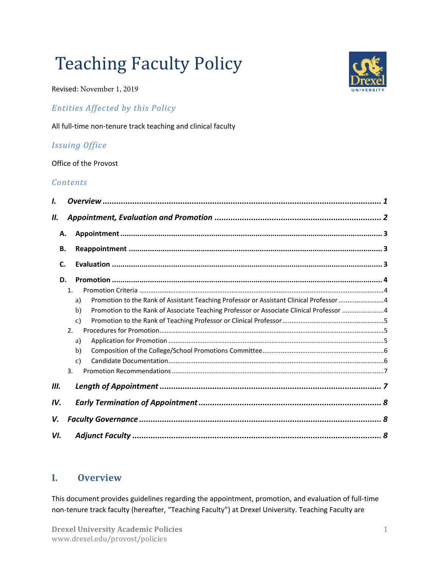# Teaching Faculty Policy

Revised: November 1, 2019

## *Entities Affected by this Policy*

All full-time non-tenure track teaching and clinical faculty

## *Issuing Office*

Office of the Provost

#### *Contents*

| I.  |                |                                                                                               |  |
|-----|----------------|-----------------------------------------------------------------------------------------------|--|
| П.  |                |                                                                                               |  |
| Α.  |                |                                                                                               |  |
| В.  |                |                                                                                               |  |
| C.  |                |                                                                                               |  |
| D.  |                |                                                                                               |  |
|     | $\mathbf{1}$ . |                                                                                               |  |
|     |                | Promotion to the Rank of Assistant Teaching Professor or Assistant Clinical Professor 4<br>a) |  |
|     |                | Promotion to the Rank of Associate Teaching Professor or Associate Clinical Professor 4<br>b) |  |
|     |                | $\mathbf{c}$                                                                                  |  |
|     | 2.             |                                                                                               |  |
|     |                | a)                                                                                            |  |
|     |                | b)                                                                                            |  |
|     |                | $\mathbf{c}$                                                                                  |  |
|     | 3.             |                                                                                               |  |
| Ш.  |                |                                                                                               |  |
| IV. |                |                                                                                               |  |
| V.  |                |                                                                                               |  |
| VI. |                |                                                                                               |  |

## <span id="page-0-0"></span>**I. Overview**

This document provides guidelines regarding the appointment, promotion, and evaluation of full-time non-tenure track faculty (hereafter, "Teaching Faculty") at Drexel University. Teaching Faculty are

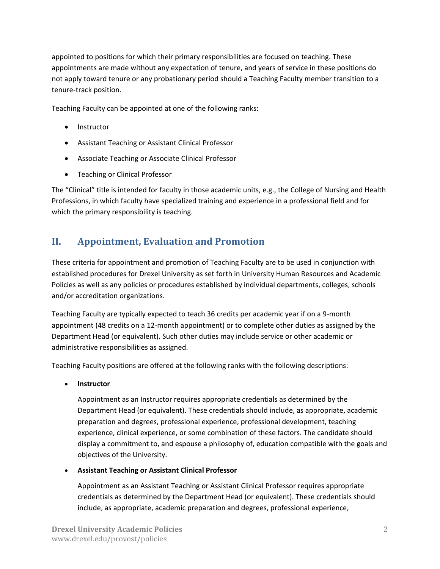appointed to positions for which their primary responsibilities are focused on teaching. These appointments are made without any expectation of tenure, and years of service in these positions do not apply toward tenure or any probationary period should a Teaching Faculty member transition to a tenure-track position.

Teaching Faculty can be appointed at one of the following ranks:

- Instructor
- Assistant Teaching or Assistant Clinical Professor
- Associate Teaching or Associate Clinical Professor
- **•** Teaching or Clinical Professor

The "Clinical" title is intended for faculty in those academic units, e.g., the College of Nursing and Health Professions, in which faculty have specialized training and experience in a professional field and for which the primary responsibility is teaching.

# <span id="page-1-0"></span>**II. Appointment, Evaluation and Promotion**

These criteria for appointment and promotion of Teaching Faculty are to be used in conjunction with established procedures for Drexel University as set forth in University Human Resources and Academic Policies as well as any policies or procedures established by individual departments, colleges, schools and/or accreditation organizations.

Teaching Faculty are typically expected to teach 36 credits per academic year if on a 9-month appointment (48 credits on a 12-month appointment) or to complete other duties as assigned by the Department Head (or equivalent). Such other duties may include service or other academic or administrative responsibilities as assigned.

Teaching Faculty positions are offered at the following ranks with the following descriptions:

**Instructor**

Appointment as an Instructor requires appropriate credentials as determined by the Department Head (or equivalent). These credentials should include, as appropriate, academic preparation and degrees, professional experience, professional development, teaching experience, clinical experience, or some combination of these factors. The candidate should display a commitment to, and espouse a philosophy of, education compatible with the goals and objectives of the University.

**Assistant Teaching or Assistant Clinical Professor**

Appointment as an Assistant Teaching or Assistant Clinical Professor requires appropriate credentials as determined by the Department Head (or equivalent). These credentials should include, as appropriate, academic preparation and degrees, professional experience,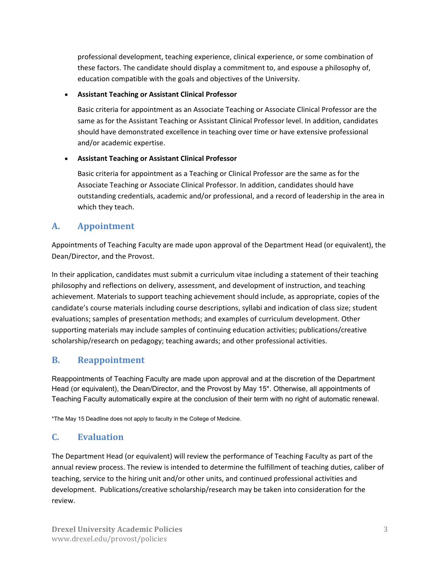professional development, teaching experience, clinical experience, or some combination of these factors. The candidate should display a commitment to, and espouse a philosophy of, education compatible with the goals and objectives of the University.

#### **Assistant Teaching or Assistant Clinical Professor**

Basic criteria for appointment as an Associate Teaching or Associate Clinical Professor are the same as for the Assistant Teaching or Assistant Clinical Professor level. In addition, candidates should have demonstrated excellence in teaching over time or have extensive professional and/or academic expertise.

#### **Assistant Teaching or Assistant Clinical Professor**

Basic criteria for appointment as a Teaching or Clinical Professor are the same as for the Associate Teaching or Associate Clinical Professor. In addition, candidates should have outstanding credentials, academic and/or professional, and a record of leadership in the area in which they teach.

## <span id="page-2-0"></span>**A. Appointment**

Appointments of Teaching Faculty are made upon approval of the Department Head (or equivalent), the Dean/Director, and the Provost.

In their application, candidates must submit a curriculum vitae including a statement of their teaching philosophy and reflections on delivery, assessment, and development of instruction, and teaching achievement. Materials to support teaching achievement should include, as appropriate, copies of the candidate's course materials including course descriptions, syllabi and indication of class size; student evaluations; samples of presentation methods; and examples of curriculum development. Other supporting materials may include samples of continuing education activities; publications/creative scholarship/research on pedagogy; teaching awards; and other professional activities.

## <span id="page-2-1"></span>**B. Reappointment**

Reappointments of Teaching Faculty are made upon approval and at the discretion of the Department Head (or equivalent), the Dean/Director, and the Provost by May 15\*. Otherwise, all appointments of Teaching Faculty automatically expire at the conclusion of their term with no right of automatic renewal.

\*The May 15 Deadline does not apply to faculty in the College of Medicine.

## <span id="page-2-2"></span>**C. Evaluation**

The Department Head (or equivalent) will review the performance of Teaching Faculty as part of the annual review process. The review is intended to determine the fulfillment of teaching duties, caliber of teaching, service to the hiring unit and/or other units, and continued professional activities and development. Publications/creative scholarship/research may be taken into consideration for the review.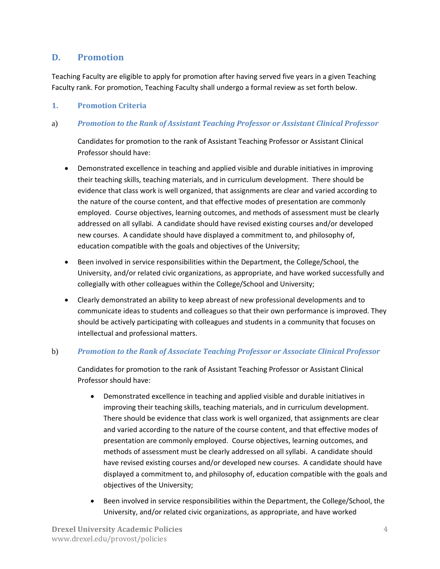## <span id="page-3-0"></span>**D. Promotion**

Teaching Faculty are eligible to apply for promotion after having served five years in a given Teaching Faculty rank. For promotion, Teaching Faculty shall undergo a formal review as set forth below.

#### <span id="page-3-1"></span>**1. Promotion Criteria**

#### <span id="page-3-2"></span>a) *Promotion to the Rank of Assistant Teaching Professor or Assistant Clinical Professor*

Candidates for promotion to the rank of Assistant Teaching Professor or Assistant Clinical Professor should have:

- Demonstrated excellence in teaching and applied visible and durable initiatives in improving their teaching skills, teaching materials, and in curriculum development. There should be evidence that class work is well organized, that assignments are clear and varied according to the nature of the course content, and that effective modes of presentation are commonly employed. Course objectives, learning outcomes, and methods of assessment must be clearly addressed on all syllabi. A candidate should have revised existing courses and/or developed new courses. A candidate should have displayed a commitment to, and philosophy of, education compatible with the goals and objectives of the University;
- Been involved in service responsibilities within the Department, the College/School, the University, and/or related civic organizations, as appropriate, and have worked successfully and collegially with other colleagues within the College/School and University;
- Clearly demonstrated an ability to keep abreast of new professional developments and to communicate ideas to students and colleagues so that their own performance is improved. They should be actively participating with colleagues and students in a community that focuses on intellectual and professional matters.

#### <span id="page-3-3"></span>b) *Promotion to the Rank of Associate Teaching Professor or Associate Clinical Professor*

Candidates for promotion to the rank of Assistant Teaching Professor or Assistant Clinical Professor should have:

- Demonstrated excellence in teaching and applied visible and durable initiatives in improving their teaching skills, teaching materials, and in curriculum development. There should be evidence that class work is well organized, that assignments are clear and varied according to the nature of the course content, and that effective modes of presentation are commonly employed. Course objectives, learning outcomes, and methods of assessment must be clearly addressed on all syllabi. A candidate should have revised existing courses and/or developed new courses. A candidate should have displayed a commitment to, and philosophy of, education compatible with the goals and objectives of the University;
- Been involved in service responsibilities within the Department, the College/School, the University, and/or related civic organizations, as appropriate, and have worked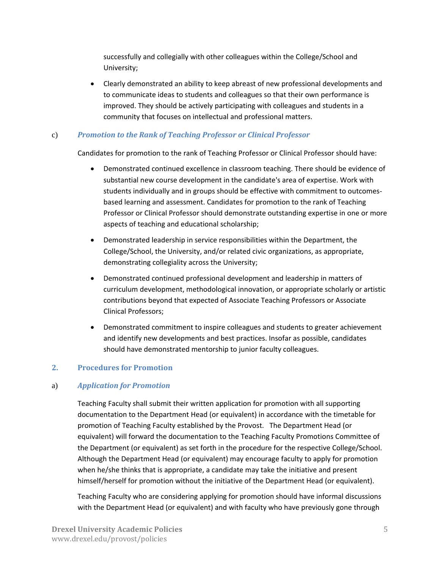successfully and collegially with other colleagues within the College/School and University;

 Clearly demonstrated an ability to keep abreast of new professional developments and to communicate ideas to students and colleagues so that their own performance is improved. They should be actively participating with colleagues and students in a community that focuses on intellectual and professional matters.

#### <span id="page-4-0"></span>c) *Promotion to the Rank of Teaching Professor or Clinical Professor*

Candidates for promotion to the rank of Teaching Professor or Clinical Professor should have:

- Demonstrated continued excellence in classroom teaching. There should be evidence of substantial new course development in the candidate's area of expertise. Work with students individually and in groups should be effective with commitment to outcomesbased learning and assessment. Candidates for promotion to the rank of Teaching Professor or Clinical Professor should demonstrate outstanding expertise in one or more aspects of teaching and educational scholarship;
- Demonstrated leadership in service responsibilities within the Department, the College/School, the University, and/or related civic organizations, as appropriate, demonstrating collegiality across the University;
- Demonstrated continued professional development and leadership in matters of curriculum development, methodological innovation, or appropriate scholarly or artistic contributions beyond that expected of Associate Teaching Professors or Associate Clinical Professors;
- Demonstrated commitment to inspire colleagues and students to greater achievement and identify new developments and best practices. Insofar as possible, candidates should have demonstrated mentorship to junior faculty colleagues.

#### <span id="page-4-1"></span>**2. Procedures for Promotion**

#### <span id="page-4-2"></span>a) *Application for Promotion*

Teaching Faculty shall submit their written application for promotion with all supporting documentation to the Department Head (or equivalent) in accordance with the timetable for promotion of Teaching Faculty established by the Provost. The Department Head (or equivalent) will forward the documentation to the Teaching Faculty Promotions Committee of the Department (or equivalent) as set forth in the procedure for the respective College/School. Although the Department Head (or equivalent) may encourage faculty to apply for promotion when he/she thinks that is appropriate, a candidate may take the initiative and present himself/herself for promotion without the initiative of the Department Head (or equivalent).

Teaching Faculty who are considering applying for promotion should have informal discussions with the Department Head (or equivalent) and with faculty who have previously gone through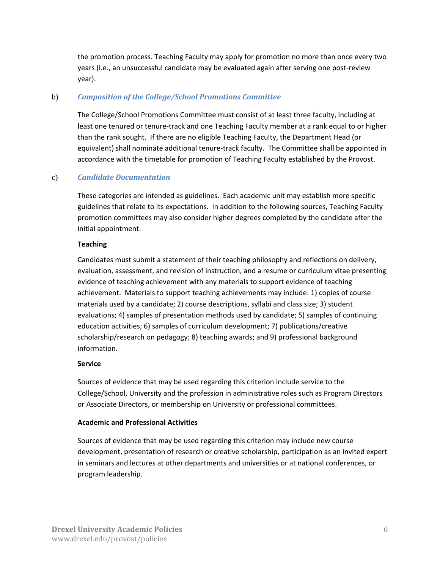the promotion process. Teaching Faculty may apply for promotion no more than once every two years (i.e., an unsuccessful candidate may be evaluated again after serving one post-review year).

#### <span id="page-5-0"></span>b) *Composition of the College/School Promotions Committee*

The College/School Promotions Committee must consist of at least three faculty, including at least one tenured or tenure-track and one Teaching Faculty member at a rank equal to or higher than the rank sought. If there are no eligible Teaching Faculty, the Department Head (or equivalent) shall nominate additional tenure-track faculty. The Committee shall be appointed in accordance with the timetable for promotion of Teaching Faculty established by the Provost.

#### <span id="page-5-1"></span>c) *Candidate Documentation*

These categories are intended as guidelines. Each academic unit may establish more specific guidelines that relate to its expectations. In addition to the following sources, Teaching Faculty promotion committees may also consider higher degrees completed by the candidate after the initial appointment.

#### **Teaching**

Candidates must submit a statement of their teaching philosophy and reflections on delivery, evaluation, assessment, and revision of instruction, and a resume or curriculum vitae presenting evidence of teaching achievement with any materials to support evidence of teaching achievement. Materials to support teaching achievements may include: 1) copies of course materials used by a candidate; 2) course descriptions, syllabi and class size; 3) student evaluations; 4) samples of presentation methods used by candidate; 5) samples of continuing education activities; 6) samples of curriculum development; 7) publications/creative scholarship/research on pedagogy; 8) teaching awards; and 9) professional background information.

#### **Service**

Sources of evidence that may be used regarding this criterion include service to the College/School, University and the profession in administrative roles such as Program Directors or Associate Directors, or membership on University or professional committees.

#### **Academic and Professional Activities**

Sources of evidence that may be used regarding this criterion may include new course development, presentation of research or creative scholarship, participation as an invited expert in seminars and lectures at other departments and universities or at national conferences, or program leadership.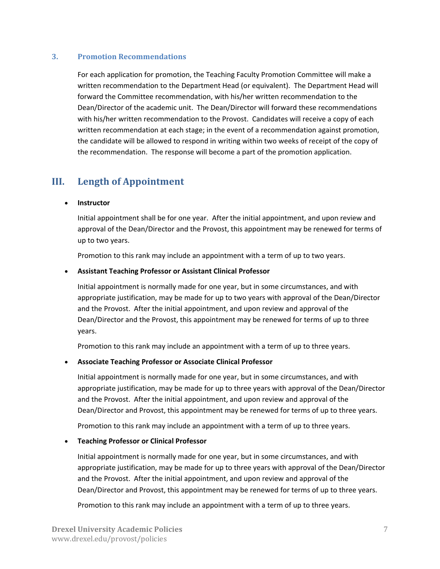#### <span id="page-6-0"></span>**3. Promotion Recommendations**

For each application for promotion, the Teaching Faculty Promotion Committee will make a written recommendation to the Department Head (or equivalent). The Department Head will forward the Committee recommendation, with his/her written recommendation to the Dean/Director of the academic unit. The Dean/Director will forward these recommendations with his/her written recommendation to the Provost. Candidates will receive a copy of each written recommendation at each stage; in the event of a recommendation against promotion, the candidate will be allowed to respond in writing within two weeks of receipt of the copy of the recommendation. The response will become a part of the promotion application.

## <span id="page-6-1"></span>**III. Length of Appointment**

#### **Instructor**

Initial appointment shall be for one year. After the initial appointment, and upon review and approval of the Dean/Director and the Provost, this appointment may be renewed for terms of up to two years.

Promotion to this rank may include an appointment with a term of up to two years.

#### **Assistant Teaching Professor or Assistant Clinical Professor**

Initial appointment is normally made for one year, but in some circumstances, and with appropriate justification, may be made for up to two years with approval of the Dean/Director and the Provost. After the initial appointment, and upon review and approval of the Dean/Director and the Provost, this appointment may be renewed for terms of up to three years.

Promotion to this rank may include an appointment with a term of up to three years.

#### **Associate Teaching Professor or Associate Clinical Professor**

Initial appointment is normally made for one year, but in some circumstances, and with appropriate justification, may be made for up to three years with approval of the Dean/Director and the Provost. After the initial appointment, and upon review and approval of the Dean/Director and Provost, this appointment may be renewed for terms of up to three years.

Promotion to this rank may include an appointment with a term of up to three years.

#### **Teaching Professor or Clinical Professor**

Initial appointment is normally made for one year, but in some circumstances, and with appropriate justification, may be made for up to three years with approval of the Dean/Director and the Provost. After the initial appointment, and upon review and approval of the Dean/Director and Provost, this appointment may be renewed for terms of up to three years.

Promotion to this rank may include an appointment with a term of up to three years.